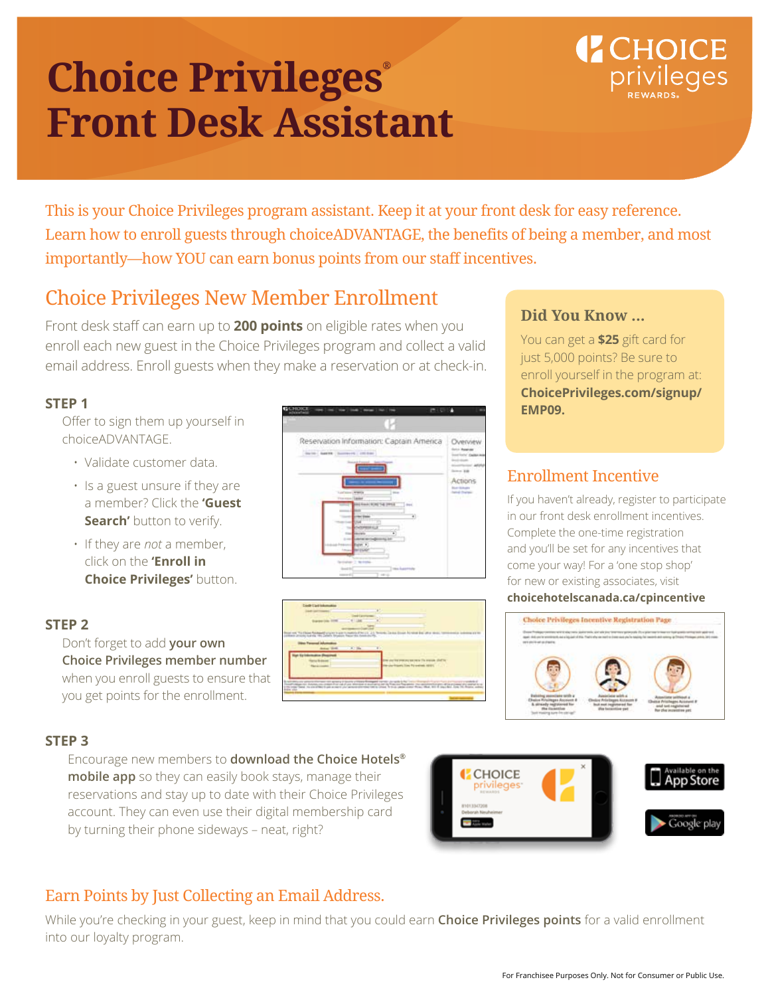### **Choice Privileges® Front Desk Assistant**

## **CHOICE**

This is your Choice Privileges program assistant. Keep it at your front desk for easy reference. Learn how to enroll guests through choiceADVANTAGE, the benefits of being a member, and most importantly—how YOU can earn bonus points from our staff incentives.

### Choice Privileges New Member Enrollment

Front desk staff can earn up to **200 points** on eligible rates when you enroll each new guest in the Choice Privileges program and collect a valid email address. Enroll guests when they make a reservation or at check-in.

### **STEP 1**

Offer to sign them up yourself in choiceADVANTAGE.

- Validate customer data.
- Is a guest unsure if they are a member? Click the **'Guest Search'** button to verify.
- If they are *not* a member, click on the **'Enroll in Choice Privileges'** button.

### **STEP 2**

Don't forget to add **your own Choice Privileges member number**  when you enroll guests to ensure that you get points for the enrollment.





### **Did You Know ...**

You can get a **\$25** gift card for just 5,000 points? Be sure to enroll yourself in the program at: **ChoicePrivileges.com/signup/ EMP09.**

### Enrollment Incentive

If you haven't already, register to participate in our front desk enrollment incentives. Complete the one-time registration and you'll be set for any incentives that come your way! For a 'one stop shop' for new or existing associates, visit **choicehotelscanada.ca/cpincentive**

# Choice Privileges Incentive Registration Page

### **STEP 3**

Encourage new members to **download the Choice Hotels® mobile app** so they can easily book stays, manage their reservations and stay up to date with their Choice Privileges account. They can even use their digital membership card by turning their phone sideways – neat, right?



### Earn Points by Just Collecting an Email Address.

While you're checking in your guest, keep in mind that you could earn **Choice Privileges points** for a valid enrollment into our loyalty program.